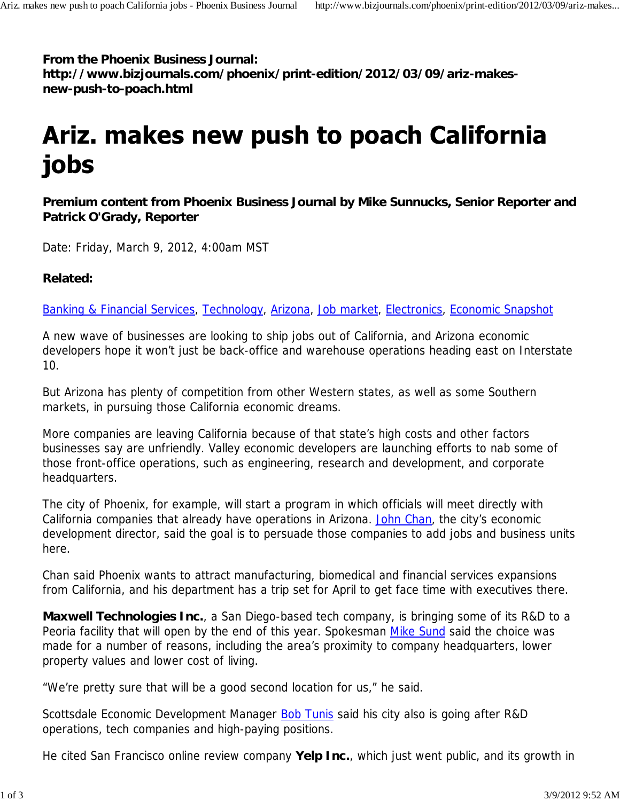**From the Phoenix Business Journal: http://www.bizjournals.com/phoenix/print-edition/2012/03/09/ariz-makesnew-push-to-poach.html**

## Ariz. makes new push to poach California jobs

**Premium content from Phoenix Business Journal by Mike Sunnucks, Senior Reporter and Patrick O'Grady, Reporter**

Date: Friday, March 9, 2012, 4:00am MST

## **Related:**

Banking & Financial Services, Technology, Arizona, Job market, Electronics, Economic Snapshot

A new wave of businesses are looking to ship jobs out of California, and Arizona economic developers hope it won't just be back-office and warehouse operations heading east on Interstate 10.

But Arizona has plenty of competition from other Western states, as well as some Southern markets, in pursuing those California economic dreams.

More companies are leaving California because of that state's high costs and other factors businesses say are unfriendly. Valley economic developers are launching efforts to nab some of those front-office operations, such as engineering, research and development, and corporate headquarters.

The city of Phoenix, for example, will start a program in which officials will meet directly with California companies that already have operations in Arizona. John Chan, the city's economic development director, said the goal is to persuade those companies to add jobs and business units here.

Chan said Phoenix wants to attract manufacturing, biomedical and financial services expansions from California, and his department has a trip set for April to get face time with executives there.

**Maxwell Technologies Inc.**, a San Diego-based tech company, is bringing some of its R&D to a Peoria facility that will open by the end of this year. Spokesman Mike Sund said the choice was made for a number of reasons, including the area's proximity to company headquarters, lower property values and lower cost of living.

"We're pretty sure that will be a good second location for us," he said.

Scottsdale Economic Development Manager Bob Tunis said his city also is going after R&D operations, tech companies and high-paying positions.

He cited San Francisco online review company **Yelp Inc.**, which just went public, and its growth in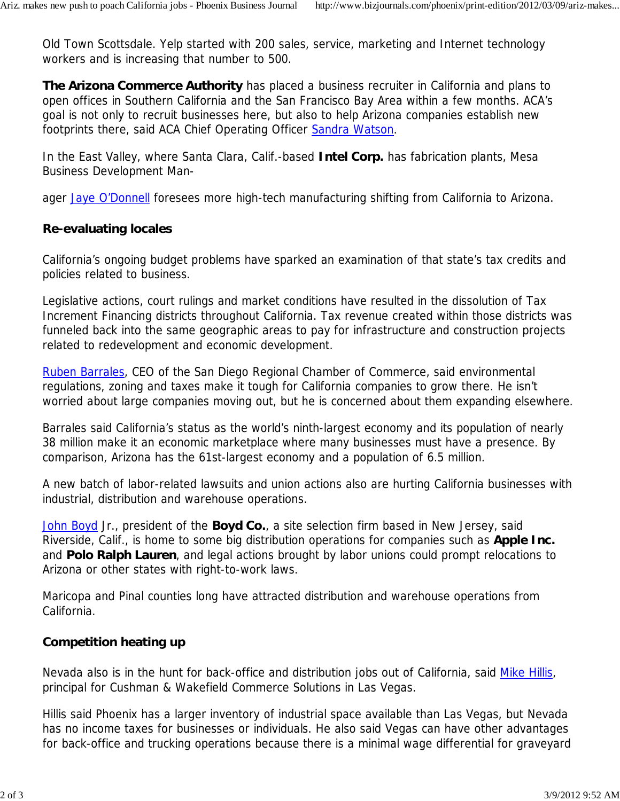Old Town Scottsdale. Yelp started with 200 sales, service, marketing and Internet technology workers and is increasing that number to 500.

**The Arizona Commerce Authority** has placed a business recruiter in California and plans to open offices in Southern California and the San Francisco Bay Area within a few months. ACA's goal is not only to recruit businesses here, but also to help Arizona companies establish new footprints there, said ACA Chief Operating Officer Sandra Watson.

In the East Valley, where Santa Clara, Calif.-based **Intel Corp.** has fabrication plants, Mesa Business Development Man-

ager Jaye O'Donnell foresees more high-tech manufacturing shifting from California to Arizona.

## **Re-evaluating locales**

California's ongoing budget problems have sparked an examination of that state's tax credits and policies related to business.

Legislative actions, court rulings and market conditions have resulted in the dissolution of Tax Increment Financing districts throughout California. Tax revenue created within those districts was funneled back into the same geographic areas to pay for infrastructure and construction projects related to redevelopment and economic development.

Ruben Barrales, CEO of the San Diego Regional Chamber of Commerce, said environmental regulations, zoning and taxes make it tough for California companies to grow there. He isn't worried about large companies moving out, but he is concerned about them expanding elsewhere.

Barrales said California's status as the world's ninth-largest economy and its population of nearly 38 million make it an economic marketplace where many businesses must have a presence. By comparison, Arizona has the 61st-largest economy and a population of 6.5 million.

A new batch of labor-related lawsuits and union actions also are hurting California businesses with industrial, distribution and warehouse operations.

John Boyd Jr., president of the **Boyd Co.**, a site selection firm based in New Jersey, said Riverside, Calif., is home to some big distribution operations for companies such as **Apple Inc.** and **Polo Ralph Lauren**, and legal actions brought by labor unions could prompt relocations to Arizona or other states with right-to-work laws.

Maricopa and Pinal counties long have attracted distribution and warehouse operations from California.

## **Competition heating up**

Nevada also is in the hunt for back-office and distribution jobs out of California, said Mike Hillis, principal for Cushman & Wakefield Commerce Solutions in Las Vegas.

Hillis said Phoenix has a larger inventory of industrial space available than Las Vegas, but Nevada has no income taxes for businesses or individuals. He also said Vegas can have other advantages for back-office and trucking operations because there is a minimal wage differential for graveyard